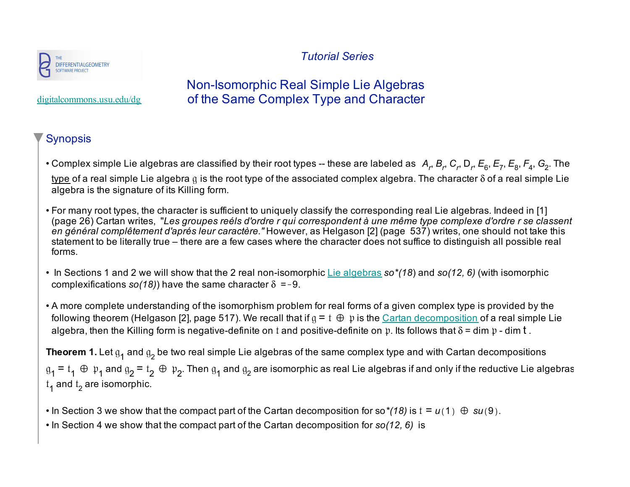



## Non-Isomorphic Real Simple Lie Algebras of the Same Complex Type and Character

digitalcommons.usu.edu/dg

## Synopsis

- Complex simple Lie algebras are classified by their root types -- these are labeled as *A<sub>r</sub>, B<sub>r</sub>, C<sub>r</sub>, D<sub>r</sub>, E<sub>6</sub>, E<sub>7</sub>, E<sub>8</sub>, F<sub>4</sub>, G<sub>2</sub>. The* type of a real simple Lie algebra  $q$  is the root type of the associated complex algebra. The character  $\delta$  of a real simple Lie algebra is the signature of its Killing form.
- For many root types, the character is sufficient to uniquely classify the corresponding real Lie algebras. Indeed in [1] (page 26) Cartan writes, "*Les groupes reéls d'ordre r qui correspondent à une même type complexe d'ordre r se classent en général complêtement d'aprés leur caractère."* However, as Helgason [2] (page 537) writes, one should not take this statement to be literally true – there are a few cases where the character does not suffice to distinguish all possible real forms.
- In Sections 1 and 2 we will show that the 2 real non-isomorphic Lie algebras *so\*(18*) and *so(12, 6)* (with isomorphic complexifications  $so(18)$ ) have the same character  $\delta = -9$ .
- A more complete understanding of the isomorphism problem for real forms of a given complex type is provided by the following theorem (Helgason [2], page 517). We recall that if  $g = t \oplus p$  is the Cartan decomposition of a real simple Lie algebra, then the Killing form is negative-definite on t and positive-definite on p. Its follows that  $\delta$  = dim p - dim t.

**Theorem 1.** Let  $g_1$  and  $g_2$  be two real simple Lie algebras of the same complex type and with Cartan decompositions  $\mathfrak{g}_1$  =  $\mathfrak{t}_1$   $\oplus$   $\mathfrak{p}_1$  and  $\mathfrak{g}_2$  and  $\mathfrak{g}_2$  are isomorphic as real Lie algebras if and only if the reductive Lie algebras  $t_1$  and  $t_2$  are isomorphic.

- In Section 3 we show that the compact part of the Cartan decomposition for so<sup>\*</sup>(18) is  $t = u(1) \oplus su(9)$ .
- In Section 4 we show that the compact part of the Cartan decomposition for *so(12, 6)* is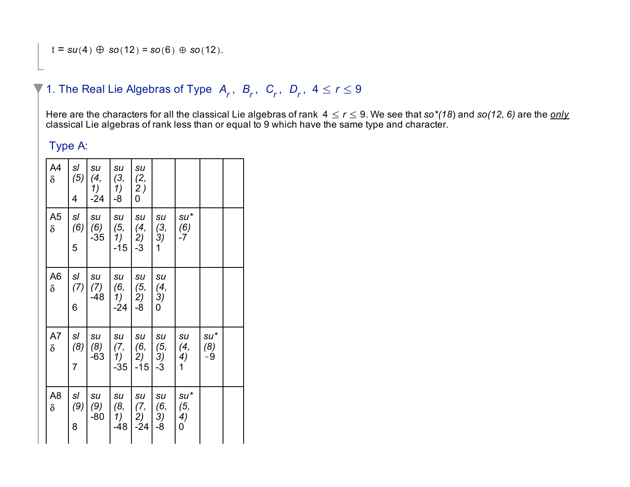# 1. The Real Lie Algebras of Type  $A_r$ ,  $B_r$ ,  $C_r$ ,  $D_r$ ,  $4 \le r \le 9$

Here are the characters for all the classical Lie algebras of rank  $4 \le r \le 9$ . We see that  $so^*(18)$  and  $so(12, 6)$  are the *only* classical Lie algebras of rank less than or equal to 9 which have the same type and character.

## Type A:

| A4<br>$\delta$             | sl<br>(5)<br>4              | su<br>(4,<br>$1)$<br>-24             | su<br>(3,<br>$\frac{1}{2}$                   | su<br>(2,<br>$\begin{pmatrix} 2 \\ 0 \end{pmatrix}$ |                                                       |                          |                  |  |
|----------------------------|-----------------------------|--------------------------------------|----------------------------------------------|-----------------------------------------------------|-------------------------------------------------------|--------------------------|------------------|--|
| A <sub>5</sub><br>$\delta$ | sl<br>(6)<br>5              | $\mathsf{s}\mathsf{u}$<br>(6)<br>-35 | $\mathsf{s}\mathsf{u}$<br>(5,<br>1)<br>$-15$ | su<br>$\binom{4}{2}$<br>$-3$                        | su<br>(3,<br>3)<br>1                                  | $su^*$<br>(6)<br>-7      |                  |  |
| A6<br>δ                    | sl<br>(7)<br>6              | su<br>(7)<br>-48                     | su<br>(6,<br>1)<br>$-24$                     | su<br>(5,<br>2)<br>-8                               | $\mathsf{s}\mathsf{u}$<br>(4,<br>3)<br>$\overline{0}$ |                          |                  |  |
| A7<br>$\delta$             | sl<br>(8)<br>$\overline{7}$ | su<br>(8)<br>-63                     | su<br>(7,<br>1)<br>$-35$                     | su<br>(6,<br>2)<br>$-15$                            | su<br>(5,<br>3)<br>$-3$                               | su<br>(4,<br>4)<br>1     | su*<br>(8)<br>-9 |  |
| A8<br>δ                    | sl<br>(9)<br>8              | su<br>(9)<br>-80                     | su<br>(8,<br>1)<br>$-48$                     | su<br>(7,<br>2)<br>$-24$                            | su<br>(6,<br>3)<br>-8                                 | $su^*$<br>(5,<br>4)<br>0 |                  |  |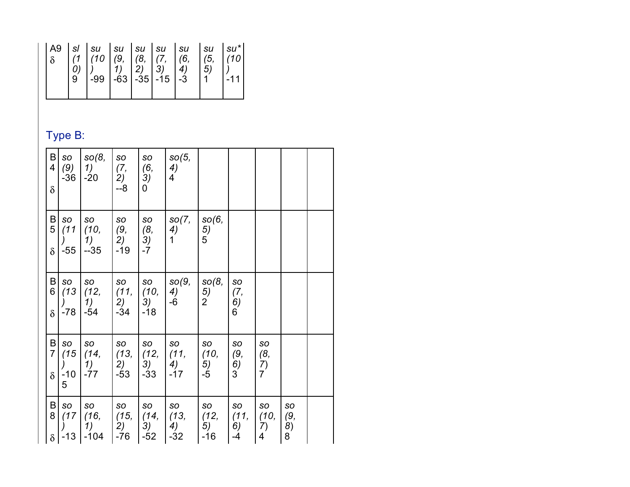|--|--|--|--|--|--|--|--|--|

## Type B:

| B<br>$\overline{\mathbf{4}}$<br>$\delta$ | SO<br>-36                        | SO(8,<br>$(9)$   1)   $(7,$<br>$ -20$                                        | SO<br>2)<br>$-8-$  | SO<br>(6,<br>3)<br>0                                       | SO(5,<br>4)<br>4                                                                                                                      |                               |                                                 |                                   |                            |  |
|------------------------------------------|----------------------------------|------------------------------------------------------------------------------|--------------------|------------------------------------------------------------|---------------------------------------------------------------------------------------------------------------------------------------|-------------------------------|-------------------------------------------------|-----------------------------------|----------------------------|--|
| B<br>5 <sup>1</sup><br>$\delta$          | SO<br>$\mathcal{L}$<br>$-55$     | SO<br>$(11 \mid (10,$<br>$\begin{pmatrix} 1 \\ 2 \end{pmatrix}$<br>$-35$     | SO<br>(9,<br>$-19$ | SO<br>$\begin{pmatrix} (8, \\ 3) \end{pmatrix}$<br>$L - 7$ | SO(7,<br>4)<br>$\mathbf 1$                                                                                                            | SO(6,<br>$\frac{5}{5}$        |                                                 |                                   |                            |  |
| $\mathsf B$<br>6 <br>$\delta$            | SO<br>$-78$                      | SO<br>(13)(12,)(11,<br>1)<br>-54                                             | SO<br>2)<br>$-34$  | SO<br>(10,<br>3)<br>$-18$                                  | SO(9,<br>4)<br>$-6$                                                                                                                   | SO(8,<br>5)<br>$\overline{2}$ | SO<br>(7,<br>6)<br>$6^{'}$                      |                                   |                            |  |
| B<br>7 <br>$\delta$                      | SO<br>(15<br>$\overline{)}$<br>5 | SO<br>(14,<br>$\left( \begin{array}{c} 1 \end{array} \right)$<br>$-10$ $-77$ | SO<br>$-53$        | SO<br>(13, 1)(12, 1)<br>$-33$                              | SO<br>(11,<br>$\begin{pmatrix} 2 \\ \end{pmatrix}$ $\begin{pmatrix} 3 \\ \end{pmatrix}$ $\begin{pmatrix} 4 \\ \end{pmatrix}$<br>$-17$ | SO<br>(10,<br>5)<br>$-5$      | SO<br>(9,<br>$\left(6\right)$<br>$\overline{3}$ | SO<br>(8,<br>7)<br>$\overline{7}$ |                            |  |
| B<br>$\overline{8}$<br>$\delta$          | SO<br>(17)                       | <b>SO</b><br>(16,  (15,  (14,<br>1)<br>$-13$   $-104$                        | SO<br>2)<br>-76    | SO<br>3)<br>$-52$                                          | SO<br>(13, 12)<br>4)<br>$-32$                                                                                                         | SO<br>5)<br>$-16$             | SO<br>$\vert$ (11,<br>6)<br>$-4$                | SO<br>(10,<br>7)<br>4             | SO<br>(9,<br>8)<br>$8^{1}$ |  |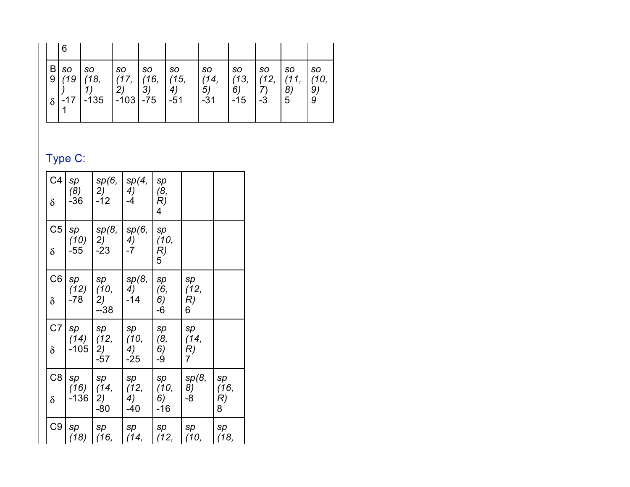|                     | 6                         |                             |                                           |                         |                                  |                           |                                  |                           |                              |                              |
|---------------------|---------------------------|-----------------------------|-------------------------------------------|-------------------------|----------------------------------|---------------------------|----------------------------------|---------------------------|------------------------------|------------------------------|
| B <br>9<br>$\delta$ | <b>SO</b><br>(19<br>$-17$ | <b>SO</b><br>(18,<br>  -135 | <b>SO</b><br>(17,<br>2)<br>$  -103   -75$ | <b>SO</b><br>(16,<br>3) | <b>SO</b><br>(15,<br>4)<br>$-51$ | so<br>(14,<br>5)<br>$-31$ | <b>SO</b><br>(13,<br>6)<br>$-15$ | <b>SO</b><br>(12,<br>$-3$ | <b>SO</b><br>(11,<br>8)<br>5 | <b>SO</b><br>(10,<br>9)<br>9 |

# Type C:

| C <sub>4</sub><br>$\delta$ | sp<br>(8)<br>$-36$ | sp(6,<br>2)<br>$-12$ | sp(4,<br>4)<br>-4   | sp<br>(8,<br>R)<br>4   |            |                 |
|----------------------------|--------------------|----------------------|---------------------|------------------------|------------|-----------------|
| C <sub>5</sub>             | sp<br>(10)         | sp(8,<br>2)          | sp(6,<br>4)         | sp<br>(10,             |            |                 |
| $\delta$                   | $-55$              | $-23$                | $-7$                | R)<br>5                |            |                 |
| C6                         | sp<br>(12)         | sp<br>(10,           | sp(8,<br>4)         | sp<br>(6,              | sp<br>(12, |                 |
| δ                          | $-78$              | 2)<br>$-38$          | $-14$               | 6)<br>-6               | R)<br>6    |                 |
| C <sub>7</sub>             | sp<br>(14)         | sp<br>(12,           | sp<br>(10,          | sp<br>(8,              | sp<br>(14, |                 |
| δ                          | $-105$             | 2)<br>$-57$          | 4)<br>$-25$         | $\left(6\right)$<br>-9 | R)<br>7    |                 |
| C8                         | sp                 | sp                   | sp                  | sp                     | sp(8,      | sp              |
| $\delta$                   | (16)<br>$-136$     | (14,<br>2)<br>$-80$  | (12,<br>4)<br>$-40$ | (10,<br>6)<br>-16      | 8)<br>-8   | (16,<br>R)<br>8 |
| C <sub>9</sub>             | sp<br>(18)         | sp<br>(16,           | sp<br>(14,          | sp<br>(12,             | sp<br>(10, | sp<br>(18,      |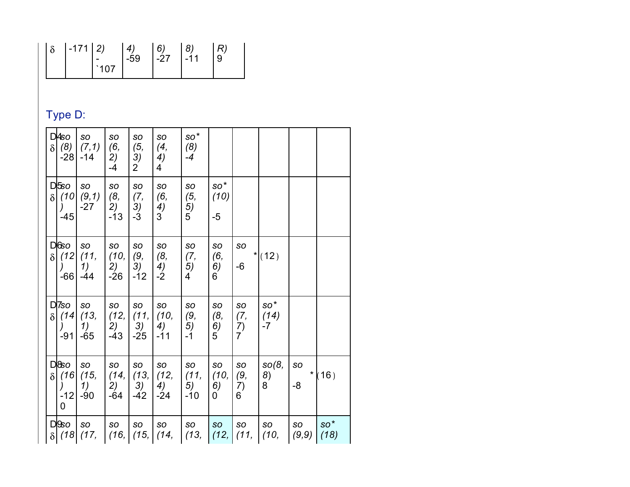| $\vert \delta$ | $-171$   2) |     | $\boldsymbol{\varDelta}$ | 6)  |          |  |
|----------------|-------------|-----|--------------------------|-----|----------|--|
|                |             |     | $-59$                    | -27 | $1 - 11$ |  |
|                |             | 107 |                          |     |          |  |

# Type D:

| $\delta$ | DA <sub>so</sub><br>(8)<br>$-28$                                                         | SO<br>(7,1)<br>$-14$             | SO<br>(6,<br>2)<br>$-4$   | SO<br>(5,<br>3)<br>$\overline{2}$ | <b>SO</b><br>(4,<br>4)<br>4    | $\mathsf{SO}^{\,\star}$<br>(8)<br>$-4$ |                                         |                                   |                     |                        |               |
|----------|------------------------------------------------------------------------------------------|----------------------------------|---------------------------|-----------------------------------|--------------------------------|----------------------------------------|-----------------------------------------|-----------------------------------|---------------------|------------------------|---------------|
|          | $D\sqrt{5}$<br>$\delta$ (10)<br>$\left( \begin{array}{c} 1 \end{array} \right)$<br>$-45$ | SO<br>(9,1)<br>$-27$             | SO<br>(8,<br>2)<br>$-13$  | SO<br>(7,<br>3)<br>$-3$           | SO<br>(6,<br>4)<br>3           | SO<br>(5,<br>5)<br>5                   | $\mathsf{SO}^{\,\star}$<br>(10)<br>$-5$ |                                   |                     |                        |               |
| δI       | $D$ 6 $O$<br>(12)<br>$\left( \begin{array}{c} 1 \end{array} \right)$<br>$-66$            | <b>SO</b><br>(11,<br>1)<br>$-44$ | SO<br>(10,<br>2)<br>$-26$ | SO<br>(9,<br>3)<br>$-12$          | <b>SO</b><br>(8,<br>4)<br>$-2$ | SO<br>(7,<br>5)<br>4                   | SO<br>(6,<br>6)<br>6                    | <b>SO</b><br>-6                   | $*$ (12)            |                        |               |
| δl       | D <sub>7</sub> so<br>(14)<br>$\left( \begin{array}{c} 1 \end{array} \right)$<br>$-91$    | SO<br>(13,<br>1)<br>$-65$        | SO<br>(12,<br>2)<br>$-43$ | SO<br>(11,<br>3)<br>$-25$         | SO<br>(10,<br>4)<br>$-11$      | SO<br>(9,<br>5)<br>$-1$                | SO<br>(8,<br>6)<br>5                    | SO<br>(7,<br>7)<br>$\overline{7}$ | so*<br>(14)<br>$-7$ |                        |               |
| $\delta$ | $D$ 8 $O$<br>(16)<br>$\left( \begin{array}{c} 1 \end{array} \right)$<br>$-12$<br>0       | SO<br>(15,<br>1)<br>$-90$        | SO<br>(14,<br>2)<br>$-64$ | SO<br>(13,<br>3)<br>$-42$         | SO<br>(12,<br>4)<br>$-24$      | SO<br>(11,<br>5)<br>$-10$              | SO<br>(10,<br>6)<br>0                   | SO<br>(9,<br>7)<br>6              | SO(8,<br>8)<br>8    | <b>SO</b><br>* I<br>-8 | (16)          |
|          | $D \& o$<br>$\delta$ (18)                                                                | <b>SO</b><br>(17,                | SO<br>(16,                | <b>SO</b><br>(15,                 | <b>SO</b><br>(14,              | SO<br>(13,                             | <b>SO</b><br>(12,                       | SO<br>(11,                        | <b>SO</b><br>(10,   | SO<br>(9, 9)           | $SO*$<br>(18) |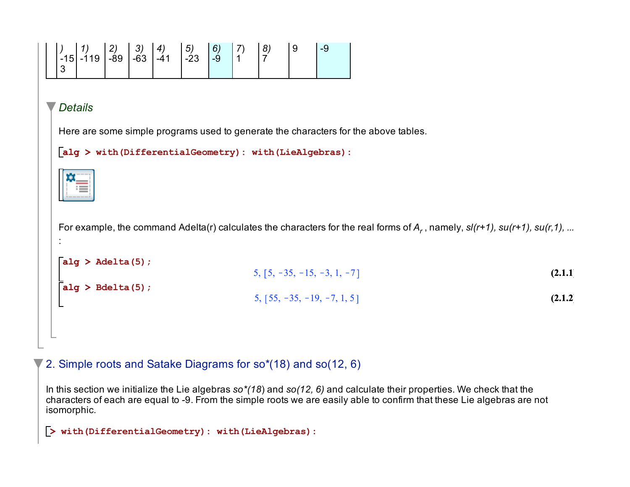

### 2. Simple roots and Satake Diagrams for so\*(18) and so(12, 6)

In this section we initialize the Lie algebras *so\*(18*) and *so(12, 6)* and calculate their properties. We check that the characters of each are equal to -9. From the simple roots we are easily able to confirm that these Lie algebras are not isomorphic.

**(2.1.2)**

**(2.1.1)**

```
> 
with(DifferentialGeometry): with(LieAlgebras):
```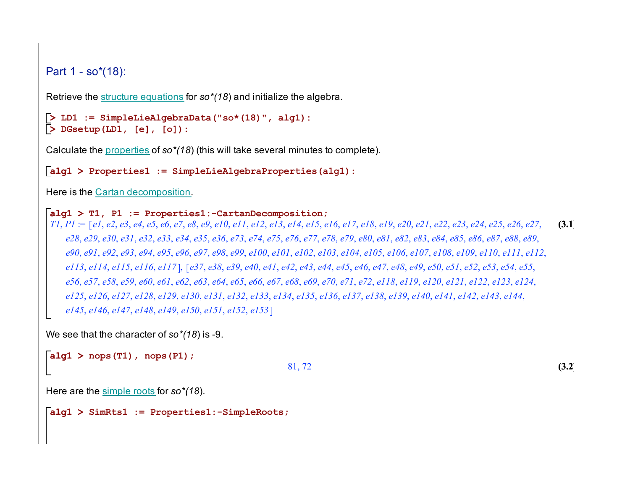Part 1 - so\*(18):

Retrieve the structure equations for *so\*(18*) and initialize the algebra.

```
> 
DGsetup(LD1, [e], [o]):
> 
LD1 := SimpleLieAlgebraData("so*(18)", alg1):
```
Calculate the properties of *so\*(18*) (this will take several minutes to complete).

**alg1 > Properties1 := SimpleLieAlgebraProperties(alg1):**

Here is the Cartan decomposition.

#### **alg1 > T1, P1 := Properties1:-CartanDecomposition;**

**(3.1)**  $TI, PI = [e1, e2, e3, e4, e5, e6, e7, e8, e9, e10, e11, e12, e13, e14, e15, e16, e17, e18, e19, e20, e21, e22, e23, e24, e25, e26, e27, e26, e27, e27, e27, e28, e29, e29, e29, e20, e21, e22, e23, e24, e25, e26, e27, e27, e28, e29, e29, e29, e21, e22, e23, e24, e25, e26, e27, e29,$ e28, e29, e30, e31, e32, e33, e34, e35, e36, e73, e74, e75, e76, e77, e78, e79, e80, e81, e82, e83, e84, e85, e86, e87, e88, e89, e90, e91, e92, e93, e94, e95, e96, e97, e98, e99, e100, e101, e102, e103, e104, e105, e106, e107, e108, e109, e110, e111, e112, ell3, ell4, ell5, ell6, ell7], [e37, e38, e39, e40, e41, e42, e43, e44, e45, e46, e47, e48, e49, e50, e51, e52, e53, e54, e55, e56, e57, e58, e59, e60, e61, e62, e63, e64, e65, e66, e67, e68, e69, e70, e71, e72, e118, e119, e120, e121, e122, e123, e124, el25, el26, el27, el28, el29, el30, el31, el32, el33, el34, el35, el36, el37, el38, el39, el40, el41, el42, el43, el44, *e145*, *e146*, *e147*, *e148*, *e149*, *e150*, *e151*, *e152*, *e153*

We see that the character of *so\*(18*) is -9.

```
alg1 > 
nops(T1), nops(P1);
```

```
81, 72
```
**(3.2)**

Here are the simple roots for *so\*(18*).

**alg1 > SimRts1 := Properties1:-SimpleRoots;**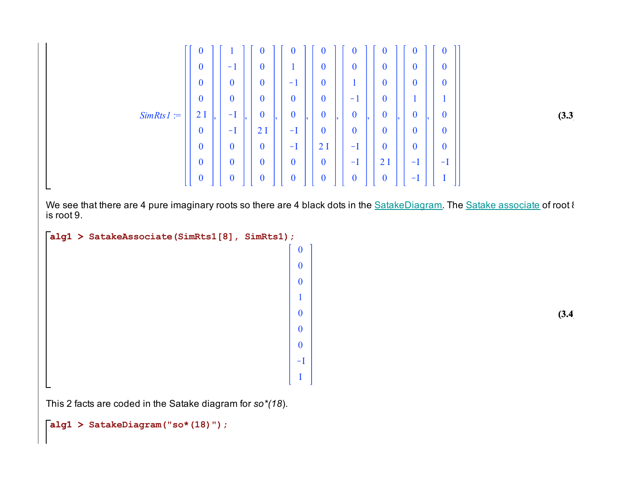

**(3.3)**

We see that there are 4 pure imaginary roots so there are 4 black dots in the SatakeDiagram. The Satake associate of root 8 is root 9.

```
alg1 > 
SatakeAssociate(SimRts1[8], SimRts1);
```
  $-I$ I

**(3.4)**

This 2 facts are coded in the Satake diagram for *so\*(18*).

**alg1 > SatakeDiagram("so\*(18)");**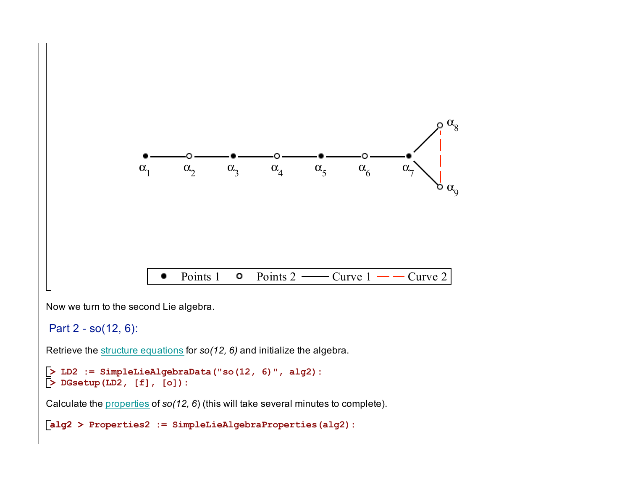

Now we turn to the second Lie algebra.

Part 2 - so(12, 6):

Retrieve the structure equations for *so(12, 6)* and initialize the algebra.

```
> 
LD2 := SimpleLieAlgebraData("so(12, 6)", alg2): 
> 
DGsetup(LD2, [f], [o]):
```
Calculate the properties of *so(12, 6*) (this will take several minutes to complete).

**alg2 > Properties2 := SimpleLieAlgebraProperties(alg2):**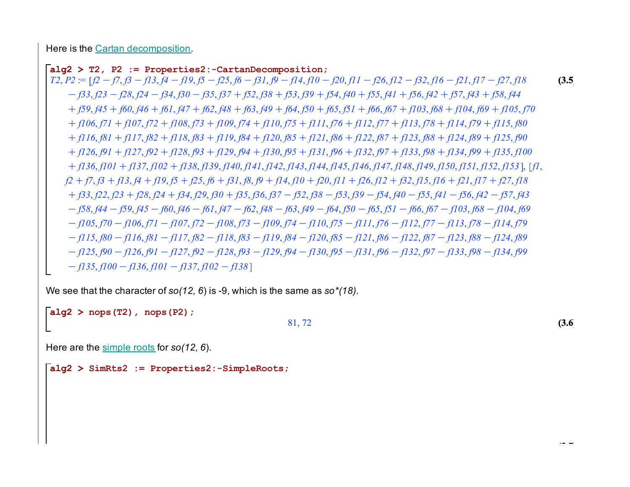Here is the Cartan decomposition.

**alg2 > T2, P2 := Properties2:-CartanDecomposition;** 

 $T2, P2 = [f2 - f7, f3 - f13, f4 - f19, f5 - f25, f6 - f31, f9 - f14, f10 - f20, f11 - f26, f12 - f32, f16 - f21, f17 - f27, f18$  $-$  f33, f23 - f28, f24 - f34, f30 - f35, f37 + f52, f38 + f53, f39 + f54, f40 + f55, f41 + f56, f42 + f57, f43 + f58, f44  $+ f59, f45 + f60, f46 + f61, f47 + f62, f48 + f63, f49 + f64, f50 + f65, f51 + f66, f67 + f103, f68 + f104, f69 + f105, f70$  $+ f106, f71 + f107, f72 + f108, f73 + f109, f74 + f110, f75 + f111, f76 + f112, f77 + f113, f78 + f114, f79 + f115, f80$  $+$  f116, f81 + f117, f82 + f118, f83 + f119, f84 + f120, f85 + f121, f86 + f122, f87 + f123, f88 + f124, f89 + f125, f90  $+ f126, f91 + f127, f92 + f128, f93 + f129, f94 + f130, f95 + f131, f96 + f132, f97 + f133, f98 + f134, f99 + f135, f100$  $+$  f136, f101 + f137, f102 + f138, f139, f140, f141, f142, f143, f144, f145, f146, f147, f148, f149, f150, f151, f152, f153], [f1,  $f2 + f7$ ,  $f3 + f13$ ,  $f4 + f19$ ,  $f5 + f25$ ,  $f6 + f31$ ,  $f8$ ,  $f9 + f14$ ,  $f10 + f20$ ,  $f11 + f26$ ,  $f12 + f32$ ,  $f15$ ,  $f16 + f21$ ,  $f17 + f27$ ,  $f18$  $+$  63, 62, 623 + 628, 624 + 634, 629, 630 + 635, 636, 637 - 63, 638 - 63, 639 - 63, 640 - 655, 641 - 656, 642 - 657, 643  $-$  f58, f44  $-$  f59, f45  $-$  f60, f46  $-$  f61, f47  $-$  f62, f48  $-$  f63, f49  $-$  f64, f50  $-$  f65, f51  $-$  f66, f67  $-$  f103, f68  $-$  f104, f69  $-$  f105, f70  $-$  f106, f71  $-$  f107, f72  $-$  f108, f73  $-$  f109, f74  $-$  f110, f75  $-$  f111, f76  $-$  f112, f77  $-$  f113, f78  $-$  f114, f79  $-$  f115, f80 - f116, f81 - f117, f82 - f118, f83 - f119, f84 - f120, f85 - f121, f86 - f122, f87 - f123, f88 - f124, f89  $-$  f125, f90 - f126, f91 - f127, f92 - f128, f93 - f129, f94 - f130, f95 - f131, f96 - f132, f97 - f133, f98 - f134, f99  $f(135, f100 - f136, f101 - f137, f102 - f138)$ 

We see that the character of *so(12, 6*) is -9, which is the same as *so\*(18)*.

**alg2 > nops(T2), nops(P2);**

#### 81, 72

**(3.6)**

**(3.5)**

Here are the simple roots for *so(12, 6*).

**alg2 > SimRts2 := Properties2:-SimpleRoots;**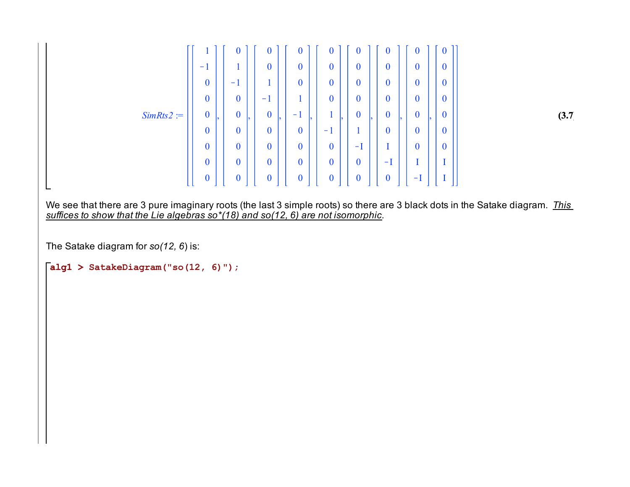

**(3.7)**

We see that there are 3 pure imaginary roots (the last 3 simple roots) so there are 3 black dots in the Satake diagram. *This suffices to show that the Lie algebras so\*(18) and so(12, 6) are not isomorphic*.

The Satake diagram for *so(12, 6*) is:

**alg1 > SatakeDiagram("so(12, 6)");**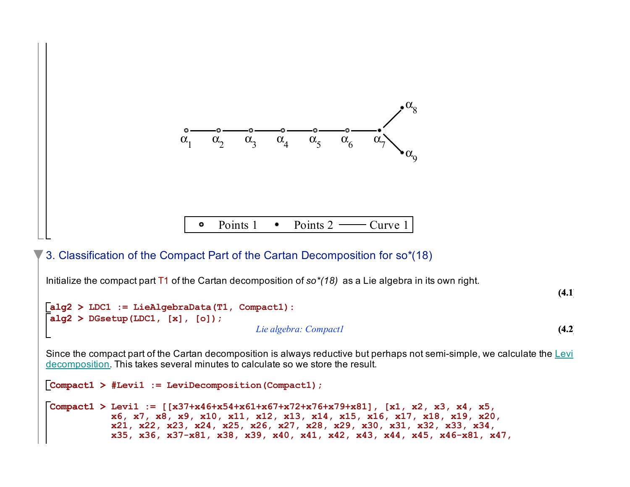

## 3. Classification of the Compact Part of the Cartan Decomposition for so\*(18)

Initialize the compact part T1 of the Cartan decomposition of *so\*(18)* as a Lie algebra in its own right.

```
alg2 > 
LDC1 := LieAlgebraData(T1, Compact1):
                                                                                                      (4.2)
alg2 > 
DGsetup(LDC1, [x], [o]);
                                         Lie algebra: Compact1
```
**(4.1)**

Since the compact part of the Cartan decomposition is always reductive but perhaps not semi-simple, we calculate the Levi decomposition. This takes several minutes to calculate so we store the result.

```
Compact1 > 
#Levi1 := LeviDecomposition(Compact1);
Compact1 > 
Levi1 := [[x37+x46+x54+x61+x67+x72+x76+x79+x81], [x1, x2, x3, x4, x5, 
          x6, x7, x8, x9, x10, x11, x12, x13, x14, x15, x16, x17, x18, x19, x20, 
          x21, x22, x23, x24, x25, x26, x27, x28, x29, x30, x31, x32, x33, x34, 
          x35, x36, x37-x81, x38, x39, x40, x41, x42, x43, x44, x45, x46-x81, x47,
```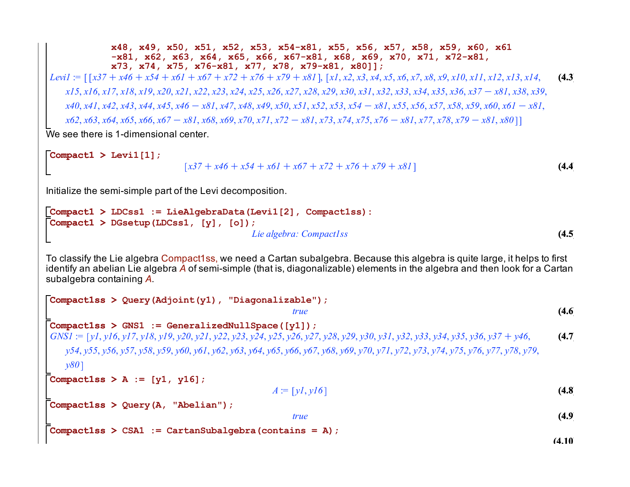**x48, x49, x50, x51, x52, x53, x54-x81, x55, x56, x57, x58, x59, x60, x61 -x81, x62, x63, x64, x65, x66, x67-x81, x68, x69, x70, x71, x72-x81, x73, x74, x75, x76-x81, x77, x78, x79-x81, x80]];**

**(4.3)** *Levi1* := *x37*C *x46*C *x54*C*x61*C*x67*C*x72*C*x76*C*x79*C*x81* , *x1*, *x2*, *x3*, *x4*, *x5*, *x6*, *x7*, *x8*, *x9*, *x10*, *x11*, *x12*, *x13*, *x14*, x15, x16, x17, x18, x19, x20, x21, x22, x23, x24, x25, x26, x27, x28, x29, x30, x31, x32, x33, x34, x35, x36, x37 – x81, x38, x39,  $x40, x41, x42, x43, x44, x45, x46 - x81, x47, x48, x49, x50, x51, x52, x53, x54 - x81, x55, x56, x57, x58, x59, x60, x61 - x81, x62, x63, x72, x84, x95, x96, x96, x97, x98, x99, x90, x91, x92, x93, x94, x95, x96, x97, x98, x99, x99, x91, x92, x93, x94, x95, x96, x97, x98, x99,$  $x62, x63, x64, x65, x66, x67 - x81, x68, x69, x70, x71, x72 - x81, x73, x74, x75, x76 - x81, x77, x78, x79 - x81, x80$ ]

We see there is 1-dimensional center.

```
Compact1 > 
Levi1[1];
                                                                                                                               (4.4)
                                 \left[x37 + x46 + x54 + x61 + x67 + x72 + x76 + x79 + x81\right]
```
Initialize the semi-simple part of the Levi decomposition.

```
Compact1 > 
LDCss1 := LieAlgebraData(Levi1[2], Compact1ss):
Compact1 > 
DGsetup(LDCss1, [y], [o]);
                                                                                                    (4.5)
                                       Lie algebra: Compact1ss
```
To classify the Lie algebra Compact1ss, we need a Cartan subalgebra. Because this algebra is quite large, it helps to first identify an abelian Lie algebra *A* of semi-simple (that is, diagonalizable) elements in the algebra and then look for a Cartan subalgebra containing *A*.

```
(4.9)
                                                                                                                   (4.10)
                                                                                                                    (4.8)
                                                                                                                    (4.6)
                                                                                                                    (4.7)
Compact1ss > 
Query(A, "Abelian");
Compact1ss > 
A := [y1, y16];
Compact1ss > 
Query(Adjoint(y1), "Diagonalizable");
Compact1ss > 
CSA1 := CartanSubalgebra(contains = A);Compact1ss > 
GNS1 := GeneralizedNullSpace([y1]);
                                                       true
GNS1 := [y1, y16, y17, y18, y19, y20, y21, y22, y23, y24, y25, y26, y27, y28, y29, y30, y31, y32, y33, y34, y35, y36, y37 + y46,
   v54, v55, v56, v57, v58, v59, v60, v61, v62, v63, v64, v65, v66, v67, v68, v69, v70, v71, v72, v73, v74, v75, v76, v77, v78, v79,
   y80
                                                  A := [yI, yI6]true
```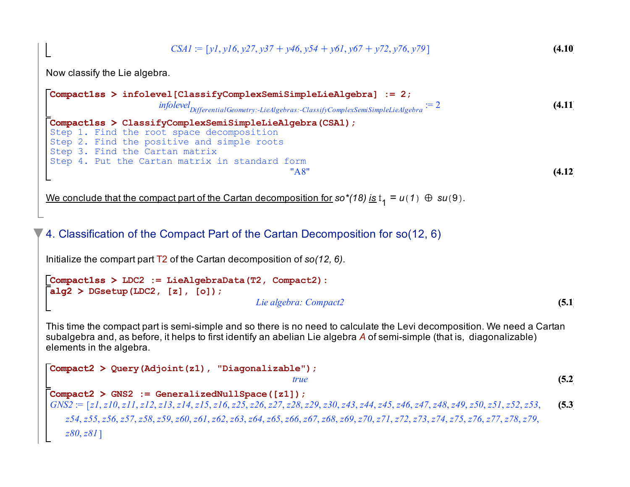**(4.10)**  $CSAI$  :=  $[y1, y16, y27, y37 + y46, y54 + y61, y67 + y72, y76, y79]$ 

Now classify the Lie algebra.

L

```
Compact1ss > 
infolevel[ClassifyComplexSemiSimpleLieAlgebra] := 2;
                                                                                                       (4.11)
                                                                                                       (4.12)
Compact1ss > 
ClassifyComplexSemiSimpleLieAlgebra(CSA1);
                      infolevel<br>DifferentialGeometry:-LieAlgebras:-ClassifyComplexSemiSimpleLieAlgebra := 2
Step 1. Find the root space decomposition
Step 2. Find the positive and simple roots
Step 3. Find the Cartan matrix
Step 4. Put the Cartan matrix in standard form
                                                 "A8"
```
We conclude that the compact part of the Cartan decomposition for  $\text{so}^*(18)$  is  $t_1 = u(1) \oplus su(9)$ .

## 4. Classification of the Compact Part of the Cartan Decomposition for so(12, 6)

Initialize the compart part T2 of the Cartan decomposition of *so(12, 6)*.

```
Compact1ss > 
LDC2 := LieAlgebraData(T2, Compact2):
alg2 > 
DGsetup(LDC2, [z], [o]);
                                                                                                     (5.1)
                                        Lie algebra: Compact2
```
This time the compact part is semi-simple and so there is no need to calculate the Levi decomposition. We need a Cartan subalgebra and, as before, it helps to first identify an abelian Lie algebra *A* of semi-simple (that is, diagonalizable) elements in the algebra.

```
Compact2 > 
Query(Adjoint(z1), "Diagonalizable");
                                                                                                                           (5.2)
                                                                                                                           (5.3)
Compact2 > 
GNS2 := GeneralizedNullSpace([z1]);
                                                          true
GNS2 := z1, z10, z11, z12, z13, z14, z15, z16, z25, z26, z27, z28, z29, z30, z43, z44, z45, z46, z47, z48, z49, z50, z51, z52, z53,
   z54, z55, z56, z57, z58, z59, z60, z61, z62, z63, z64, z65, z66, z67, z68, z69, z70, z71, z72, z73, z74, z75, z76, z77, z78, z79,
   z80, z81
```